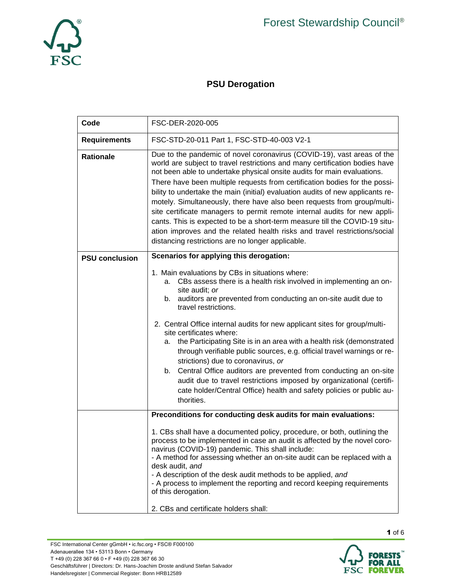

## **PSU Derogation**

| Code                  | FSC-DER-2020-005                                                                                                                                                                                                                                                                                                                                                                                                                                                          |  |  |  |  |  |
|-----------------------|---------------------------------------------------------------------------------------------------------------------------------------------------------------------------------------------------------------------------------------------------------------------------------------------------------------------------------------------------------------------------------------------------------------------------------------------------------------------------|--|--|--|--|--|
| <b>Requirements</b>   | FSC-STD-20-011 Part 1, FSC-STD-40-003 V2-1                                                                                                                                                                                                                                                                                                                                                                                                                                |  |  |  |  |  |
| <b>Rationale</b>      | Due to the pandemic of novel coronavirus (COVID-19), vast areas of the<br>world are subject to travel restrictions and many certification bodies have<br>not been able to undertake physical onsite audits for main evaluations.<br>There have been multiple requests from certification bodies for the possi-                                                                                                                                                            |  |  |  |  |  |
|                       | bility to undertake the main (initial) evaluation audits of new applicants re-<br>motely. Simultaneously, there have also been requests from group/multi-<br>site certificate managers to permit remote internal audits for new appli-<br>cants. This is expected to be a short-term measure till the COVID-19 situ-<br>ation improves and the related health risks and travel restrictions/social<br>distancing restrictions are no longer applicable.                   |  |  |  |  |  |
| <b>PSU conclusion</b> | Scenarios for applying this derogation:                                                                                                                                                                                                                                                                                                                                                                                                                                   |  |  |  |  |  |
|                       | 1. Main evaluations by CBs in situations where:<br>CBs assess there is a health risk involved in implementing an on-<br>а.<br>site audit; or<br>auditors are prevented from conducting an on-site audit due to<br>b.<br>travel restrictions.                                                                                                                                                                                                                              |  |  |  |  |  |
|                       | 2. Central Office internal audits for new applicant sites for group/multi-<br>site certificates where:<br>the Participating Site is in an area with a health risk (demonstrated<br>а.<br>through verifiable public sources, e.g. official travel warnings or re-<br>strictions) due to coronavirus, or                                                                                                                                                                    |  |  |  |  |  |
|                       | Central Office auditors are prevented from conducting an on-site<br>b.<br>audit due to travel restrictions imposed by organizational (certifi-<br>cate holder/Central Office) health and safety policies or public au-<br>thorities.                                                                                                                                                                                                                                      |  |  |  |  |  |
|                       | Preconditions for conducting desk audits for main evaluations:                                                                                                                                                                                                                                                                                                                                                                                                            |  |  |  |  |  |
|                       | 1. CBs shall have a documented policy, procedure, or both, outlining the<br>process to be implemented in case an audit is affected by the novel coro-<br>navirus (COVID-19) pandemic. This shall include:<br>- A method for assessing whether an on-site audit can be replaced with a<br>desk audit, and<br>- A description of the desk audit methods to be applied, and<br>- A process to implement the reporting and record keeping requirements<br>of this derogation. |  |  |  |  |  |
|                       | 2. CBs and certificate holders shall:                                                                                                                                                                                                                                                                                                                                                                                                                                     |  |  |  |  |  |

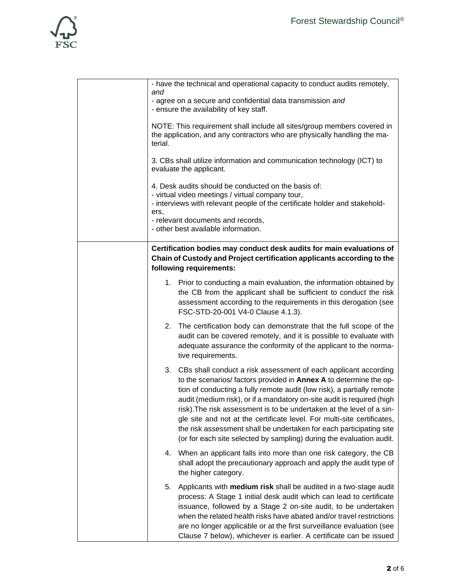

| - have the technical and operational capacity to conduct audits remotely,<br>and<br>- agree on a secure and confidential data transmission and<br>- ensure the availability of key staff.<br>NOTE: This requirement shall include all sites/group members covered in<br>the application, and any contractors who are physically handling the ma-<br>terial.                                                                                                                                                                                                                                    |  |  |  |  |
|------------------------------------------------------------------------------------------------------------------------------------------------------------------------------------------------------------------------------------------------------------------------------------------------------------------------------------------------------------------------------------------------------------------------------------------------------------------------------------------------------------------------------------------------------------------------------------------------|--|--|--|--|
| 3. CBs shall utilize information and communication technology (ICT) to<br>evaluate the applicant.                                                                                                                                                                                                                                                                                                                                                                                                                                                                                              |  |  |  |  |
| 4. Desk audits should be conducted on the basis of:<br>- virtual video meetings / virtual company tour,<br>- interviews with relevant people of the certificate holder and stakehold-<br>ers,<br>- relevant documents and records,<br>- other best available information.                                                                                                                                                                                                                                                                                                                      |  |  |  |  |
| Certification bodies may conduct desk audits for main evaluations of<br>Chain of Custody and Project certification applicants according to the<br>following requirements:                                                                                                                                                                                                                                                                                                                                                                                                                      |  |  |  |  |
| 1. Prior to conducting a main evaluation, the information obtained by<br>the CB from the applicant shall be sufficient to conduct the risk<br>assessment according to the requirements in this derogation (see<br>FSC-STD-20-001 V4-0 Clause 4.1.3).                                                                                                                                                                                                                                                                                                                                           |  |  |  |  |
| 2. The certification body can demonstrate that the full scope of the<br>audit can be covered remotely, and it is possible to evaluate with<br>adequate assurance the conformity of the applicant to the norma-<br>tive requirements.                                                                                                                                                                                                                                                                                                                                                           |  |  |  |  |
| 3. CBs shall conduct a risk assessment of each applicant according<br>to the scenarios/factors provided in Annex A to determine the op-<br>tion of conducting a fully remote audit (low risk), a partially remote<br>audit (medium risk), or if a mandatory on-site audit is required (high<br>risk). The risk assessment is to be undertaken at the level of a sin-<br>gle site and not at the certificate level. For multi-site certificates,<br>the risk assessment shall be undertaken for each participating site<br>(or for each site selected by sampling) during the evaluation audit. |  |  |  |  |
| When an applicant falls into more than one risk category, the CB<br>4.<br>shall adopt the precautionary approach and apply the audit type of<br>the higher category.                                                                                                                                                                                                                                                                                                                                                                                                                           |  |  |  |  |
| Applicants with medium risk shall be audited in a two-stage audit<br>5.<br>process: A Stage 1 initial desk audit which can lead to certificate<br>issuance, followed by a Stage 2 on-site audit, to be undertaken<br>when the related health risks have abated and/or travel restrictions<br>are no longer applicable or at the first surveillance evaluation (see<br>Clause 7 below), whichever is earlier. A certificate can be issued                                                                                                                                                       |  |  |  |  |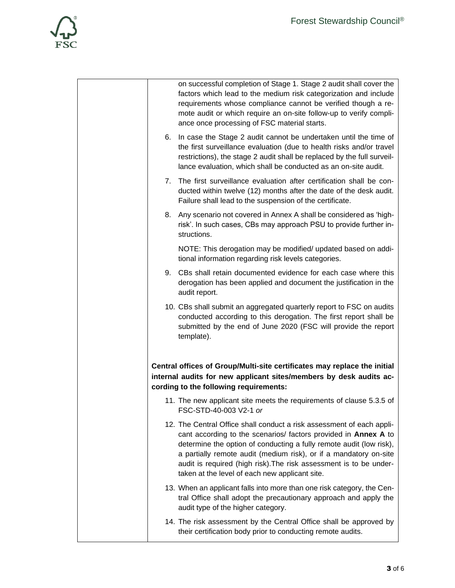

|    | on successful completion of Stage 1. Stage 2 audit shall cover the<br>factors which lead to the medium risk categorization and include<br>requirements whose compliance cannot be verified though a re-<br>mote audit or which require an on-site follow-up to verify compli-<br>ance once processing of FSC material starts.                                                                                |
|----|--------------------------------------------------------------------------------------------------------------------------------------------------------------------------------------------------------------------------------------------------------------------------------------------------------------------------------------------------------------------------------------------------------------|
| 6. | In case the Stage 2 audit cannot be undertaken until the time of<br>the first surveillance evaluation (due to health risks and/or travel<br>restrictions), the stage 2 audit shall be replaced by the full surveil-<br>lance evaluation, which shall be conducted as an on-site audit.                                                                                                                       |
| 7. | The first surveillance evaluation after certification shall be con-<br>ducted within twelve (12) months after the date of the desk audit.<br>Failure shall lead to the suspension of the certificate.                                                                                                                                                                                                        |
| 8. | Any scenario not covered in Annex A shall be considered as 'high-<br>risk'. In such cases, CBs may approach PSU to provide further in-<br>structions.                                                                                                                                                                                                                                                        |
|    | NOTE: This derogation may be modified/ updated based on addi-<br>tional information regarding risk levels categories.                                                                                                                                                                                                                                                                                        |
|    | 9. CBs shall retain documented evidence for each case where this<br>derogation has been applied and document the justification in the<br>audit report.                                                                                                                                                                                                                                                       |
|    | 10. CBs shall submit an aggregated quarterly report to FSC on audits<br>conducted according to this derogation. The first report shall be<br>submitted by the end of June 2020 (FSC will provide the report<br>template).                                                                                                                                                                                    |
|    | Central offices of Group/Multi-site certificates may replace the initial<br>internal audits for new applicant sites/members by desk audits ac-<br>cording to the following requirements:                                                                                                                                                                                                                     |
|    | 11. The new applicant site meets the requirements of clause 5.3.5 of<br>FSC-STD-40-003 V2-1 or                                                                                                                                                                                                                                                                                                               |
|    | 12. The Central Office shall conduct a risk assessment of each appli-<br>cant according to the scenarios/ factors provided in Annex A to<br>determine the option of conducting a fully remote audit (low risk),<br>a partially remote audit (medium risk), or if a mandatory on-site<br>audit is required (high risk). The risk assessment is to be under-<br>taken at the level of each new applicant site. |
|    | 13. When an applicant falls into more than one risk category, the Cen-<br>tral Office shall adopt the precautionary approach and apply the<br>audit type of the higher category.                                                                                                                                                                                                                             |
|    | 14. The risk assessment by the Central Office shall be approved by<br>their certification body prior to conducting remote audits.                                                                                                                                                                                                                                                                            |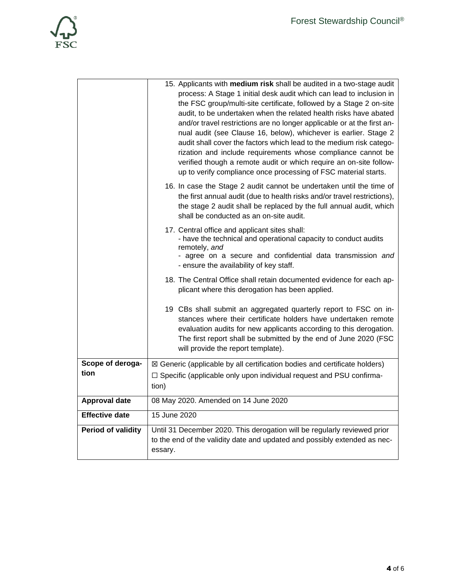

|                           | 15. Applicants with medium risk shall be audited in a two-stage audit                                                                        |  |  |  |
|---------------------------|----------------------------------------------------------------------------------------------------------------------------------------------|--|--|--|
|                           | process: A Stage 1 initial desk audit which can lead to inclusion in                                                                         |  |  |  |
|                           | the FSC group/multi-site certificate, followed by a Stage 2 on-site                                                                          |  |  |  |
|                           | audit, to be undertaken when the related health risks have abated<br>and/or travel restrictions are no longer applicable or at the first an- |  |  |  |
|                           | nual audit (see Clause 16, below), whichever is earlier. Stage 2                                                                             |  |  |  |
|                           | audit shall cover the factors which lead to the medium risk catego-                                                                          |  |  |  |
|                           | rization and include requirements whose compliance cannot be                                                                                 |  |  |  |
|                           | verified though a remote audit or which require an on-site follow-                                                                           |  |  |  |
|                           | up to verify compliance once processing of FSC material starts.                                                                              |  |  |  |
|                           | 16. In case the Stage 2 audit cannot be undertaken until the time of                                                                         |  |  |  |
|                           | the first annual audit (due to health risks and/or travel restrictions),                                                                     |  |  |  |
|                           | the stage 2 audit shall be replaced by the full annual audit, which<br>shall be conducted as an on-site audit.                               |  |  |  |
|                           |                                                                                                                                              |  |  |  |
|                           | 17. Central office and applicant sites shall:<br>- have the technical and operational capacity to conduct audits                             |  |  |  |
|                           | remotely, and                                                                                                                                |  |  |  |
|                           | - agree on a secure and confidential data transmission and                                                                                   |  |  |  |
|                           | - ensure the availability of key staff.                                                                                                      |  |  |  |
|                           | 18. The Central Office shall retain documented evidence for each ap-                                                                         |  |  |  |
|                           | plicant where this derogation has been applied.                                                                                              |  |  |  |
|                           | 19 CBs shall submit an aggregated quarterly report to FSC on in-                                                                             |  |  |  |
|                           | stances where their certificate holders have undertaken remote                                                                               |  |  |  |
|                           | evaluation audits for new applicants according to this derogation.                                                                           |  |  |  |
|                           | The first report shall be submitted by the end of June 2020 (FSC                                                                             |  |  |  |
|                           | will provide the report template).                                                                                                           |  |  |  |
| Scope of deroga-          | ⊠ Generic (applicable by all certification bodies and certificate holders)                                                                   |  |  |  |
| tion                      | □ Specific (applicable only upon individual request and PSU confirma-                                                                        |  |  |  |
|                           | tion)                                                                                                                                        |  |  |  |
| <b>Approval date</b>      | 08 May 2020. Amended on 14 June 2020                                                                                                         |  |  |  |
| <b>Effective date</b>     | 15 June 2020                                                                                                                                 |  |  |  |
| <b>Period of validity</b> | Until 31 December 2020. This derogation will be regularly reviewed prior                                                                     |  |  |  |
|                           | to the end of the validity date and updated and possibly extended as nec-<br>essary.                                                         |  |  |  |
|                           |                                                                                                                                              |  |  |  |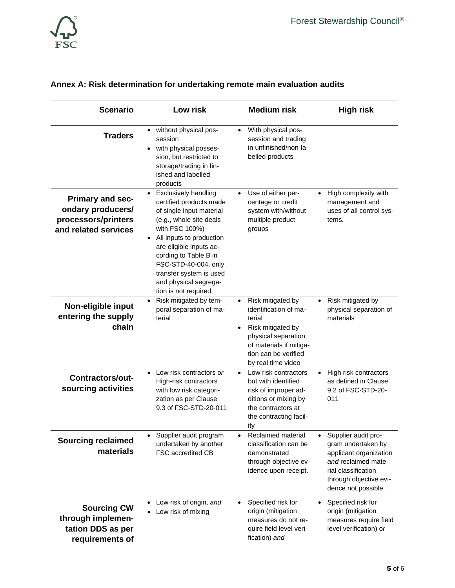

| <b>Scenario</b>                                                                             | Low risk                                                                                                                                                                                                                                                                                                                         | <b>Medium risk</b>                                                                                                                                                                                  | <b>High risk</b>                                                                                                                                                                |
|---------------------------------------------------------------------------------------------|----------------------------------------------------------------------------------------------------------------------------------------------------------------------------------------------------------------------------------------------------------------------------------------------------------------------------------|-----------------------------------------------------------------------------------------------------------------------------------------------------------------------------------------------------|---------------------------------------------------------------------------------------------------------------------------------------------------------------------------------|
| <b>Traders</b>                                                                              | without physical pos-<br>session<br>with physical posses-<br>sion, but restricted to<br>storage/trading in fin-<br>ished and labelled<br>products                                                                                                                                                                                | With physical pos-<br>$\bullet$<br>session and trading<br>in unfinished/non-la-<br>belled products                                                                                                  |                                                                                                                                                                                 |
| <b>Primary and sec-</b><br>ondary producers/<br>processors/printers<br>and related services | <b>Exclusively handling</b><br>$\bullet$<br>certified products made<br>of single input material<br>(e.g., whole site deals<br>with FSC 100%)<br>All inputs to production<br>are eligible inputs ac-<br>cording to Table B in<br>FSC-STD-40-004, only<br>transfer system is used<br>and physical segrega-<br>tion is not required | Use of either per-<br>$\bullet$<br>centage or credit<br>system with/without<br>multiple product<br>groups                                                                                           | High complexity with<br>management and<br>uses of all control sys-<br>tems.                                                                                                     |
| Non-eligible input<br>entering the supply<br>chain                                          | Risk mitigated by tem-<br>poral separation of ma-<br>terial                                                                                                                                                                                                                                                                      | Risk mitigated by<br>$\bullet$<br>identification of ma-<br>terial<br>Risk mitigated by<br>$\bullet$<br>physical separation<br>of materials if mitiga-<br>tion can be verified<br>by real time video | Risk mitigated by<br>$\bullet$<br>physical separation of<br>materials                                                                                                           |
| <b>Contractors/out-</b><br>sourcing activities                                              | Low risk contractors or<br>$\bullet$<br>High-risk contractors<br>with low risk categori-<br>zation as per Clause<br>9.3 of FSC-STD-20-011                                                                                                                                                                                        | Low risk contractors<br>$\bullet$<br>but with identified<br>risk of improper ad-<br>ditions or mixing by<br>the contractors at<br>the contracting facil-<br>ity                                     | High risk contractors<br>$\bullet$<br>as defined in Clause<br>9.2 of FSC-STD-20-<br>011                                                                                         |
| <b>Sourcing reclaimed</b><br>materials                                                      | Supplier audit program<br>undertaken by another<br>FSC accredited CB                                                                                                                                                                                                                                                             | Reclaimed material<br>classification can be<br>demonstrated<br>through objective ev-<br>idence upon receipt.                                                                                        | Supplier audit pro-<br>$\bullet$<br>gram undertaken by<br>applicant organization<br>and reclaimed mate-<br>rial classification<br>through objective evi-<br>dence not possible. |
| <b>Sourcing CW</b><br>through implemen-<br>tation DDS as per<br>requirements of             | Low risk of origin, and<br>Low risk of mixing                                                                                                                                                                                                                                                                                    | Specified risk for<br>$\bullet$<br>origin (mitigation<br>measures do not re-<br>quire field level veri-<br>fication) and                                                                            | Specified risk for<br>origin (mitigation<br>measures require field<br>level verification) or                                                                                    |

## **Annex A: Risk determination for undertaking remote main evaluation audits**